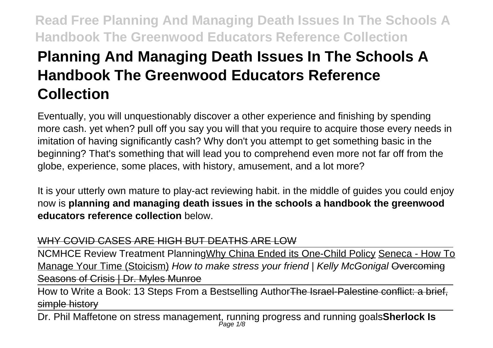# **Planning And Managing Death Issues In The Schools A Handbook The Greenwood Educators Reference Collection**

Eventually, you will unquestionably discover a other experience and finishing by spending more cash. yet when? pull off you say you will that you require to acquire those every needs in imitation of having significantly cash? Why don't you attempt to get something basic in the beginning? That's something that will lead you to comprehend even more not far off from the globe, experience, some places, with history, amusement, and a lot more?

It is your utterly own mature to play-act reviewing habit. in the middle of guides you could enjoy now is **planning and managing death issues in the schools a handbook the greenwood educators reference collection** below.

### WHY COVID CASES ARE HIGH BUT DEATHS ARE LOW

NCMHCE Review Treatment PlanningWhy China Ended its One-Child Policy Seneca - How To Manage Your Time (Stoicism) How to make stress your friend | Kelly McGonigal Overcoming Seasons of Crisis | Dr. Myles Munroe

How to Write a Book: 13 Steps From a Bestselling AuthorThe Israel-Palestine conflict: a brief, simple history

Dr. Phil Maffetone on stress management, running progress and running goals**Sherlock Is** Page 1/8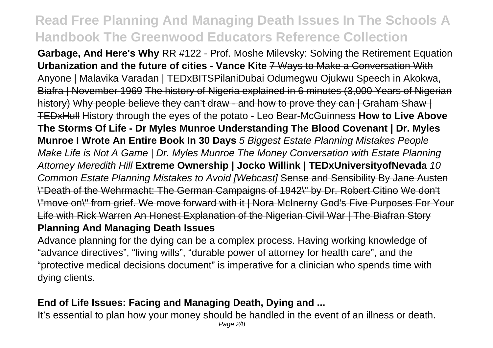**Garbage, And Here's Why** RR #122 - Prof. Moshe Milevsky: Solving the Retirement Equation **Urbanization and the future of cities - Vance Kite** 7 Ways to Make a Conversation With Anyone | Malavika Varadan | TEDxBITSPilaniDubai Odumegwu Ojukwu Speech in Akokwa, Biafra | November 1969 The history of Nigeria explained in 6 minutes (3,000 Years of Nigerian history) Why people believe they can't draw - and how to prove they can | Graham Shaw | TEDxHull History through the eyes of the potato - Leo Bear-McGuinness **How to Live Above The Storms Of Life - Dr Myles Munroe Understanding The Blood Covenant | Dr. Myles Munroe I Wrote An Entire Book In 30 Days** 5 Biggest Estate Planning Mistakes People Make Life is Not A Game | Dr. Myles Munroe The Money Conversation with Estate Planning Attorney Meredith Hill **Extreme Ownership | Jocko Willink | TEDxUniversityofNevada** 10 Common Estate Planning Mistakes to Avoid [Webcast] Sense and Sensibility By Jane Austen \"Death of the Wehrmacht: The German Campaigns of 1942\" by Dr. Robert Citino We don't \"move on\" from grief. We move forward with it | Nora McInerny God's Five Purposes For Your Life with Rick Warren An Honest Explanation of the Nigerian Civil War | The Biafran Story

## **Planning And Managing Death Issues**

Advance planning for the dying can be a complex process. Having working knowledge of "advance directives", "living wills", "durable power of attorney for health care", and the "protective medical decisions document" is imperative for a clinician who spends time with dying clients.

## **End of Life Issues: Facing and Managing Death, Dying and ...**

It's essential to plan how your money should be handled in the event of an illness or death. Page 2/8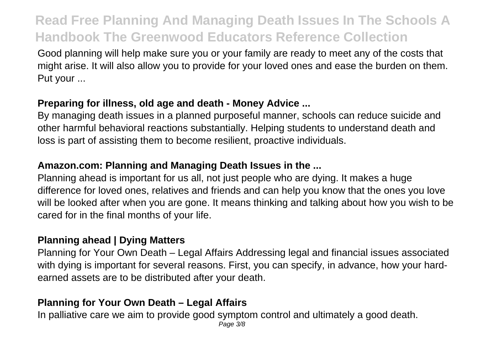Good planning will help make sure you or your family are ready to meet any of the costs that might arise. It will also allow you to provide for your loved ones and ease the burden on them. Put your ...

### **Preparing for illness, old age and death - Money Advice ...**

By managing death issues in a planned purposeful manner, schools can reduce suicide and other harmful behavioral reactions substantially. Helping students to understand death and loss is part of assisting them to become resilient, proactive individuals.

### **Amazon.com: Planning and Managing Death Issues in the ...**

Planning ahead is important for us all, not just people who are dying. It makes a huge difference for loved ones, relatives and friends and can help you know that the ones you love will be looked after when you are gone. It means thinking and talking about how you wish to be cared for in the final months of your life.

#### **Planning ahead | Dying Matters**

Planning for Your Own Death – Legal Affairs Addressing legal and financial issues associated with dying is important for several reasons. First, you can specify, in advance, how your hardearned assets are to be distributed after your death.

### **Planning for Your Own Death – Legal Affairs**

In palliative care we aim to provide good symptom control and ultimately a good death. Page 3/8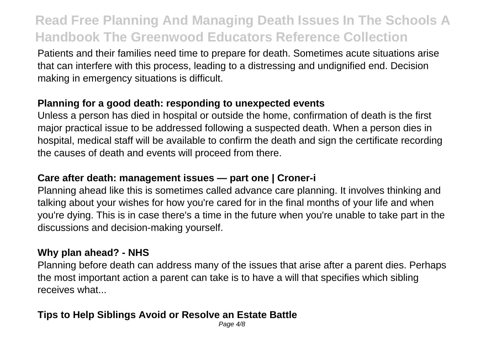Patients and their families need time to prepare for death. Sometimes acute situations arise that can interfere with this process, leading to a distressing and undignified end. Decision making in emergency situations is difficult.

#### **Planning for a good death: responding to unexpected events**

Unless a person has died in hospital or outside the home, confirmation of death is the first major practical issue to be addressed following a suspected death. When a person dies in hospital, medical staff will be available to confirm the death and sign the certificate recording the causes of death and events will proceed from there.

#### **Care after death: management issues — part one | Croner-i**

Planning ahead like this is sometimes called advance care planning. It involves thinking and talking about your wishes for how you're cared for in the final months of your life and when you're dying. This is in case there's a time in the future when you're unable to take part in the discussions and decision-making yourself.

#### **Why plan ahead? - NHS**

Planning before death can address many of the issues that arise after a parent dies. Perhaps the most important action a parent can take is to have a will that specifies which sibling receives what...

### **Tips to Help Siblings Avoid or Resolve an Estate Battle**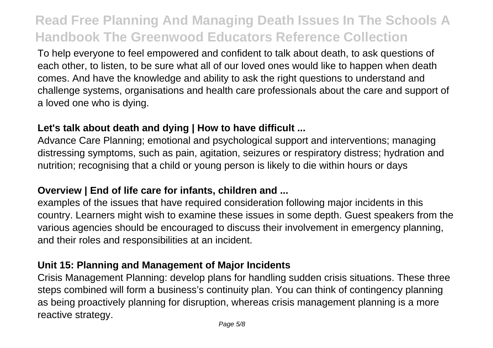To help everyone to feel empowered and confident to talk about death, to ask questions of each other, to listen, to be sure what all of our loved ones would like to happen when death comes. And have the knowledge and ability to ask the right questions to understand and challenge systems, organisations and health care professionals about the care and support of a loved one who is dying.

#### **Let's talk about death and dying | How to have difficult ...**

Advance Care Planning; emotional and psychological support and interventions; managing distressing symptoms, such as pain, agitation, seizures or respiratory distress; hydration and nutrition; recognising that a child or young person is likely to die within hours or days

### **Overview | End of life care for infants, children and ...**

examples of the issues that have required consideration following major incidents in this country. Learners might wish to examine these issues in some depth. Guest speakers from the various agencies should be encouraged to discuss their involvement in emergency planning, and their roles and responsibilities at an incident.

#### **Unit 15: Planning and Management of Major Incidents**

Crisis Management Planning: develop plans for handling sudden crisis situations. These three steps combined will form a business's continuity plan. You can think of contingency planning as being proactively planning for disruption, whereas crisis management planning is a more reactive strategy.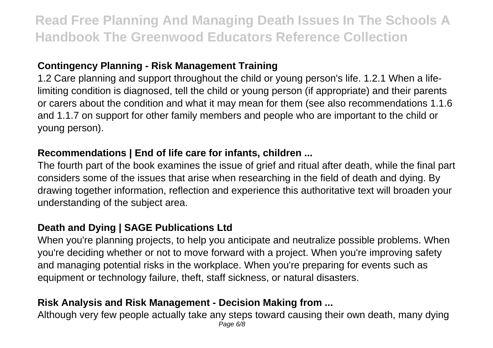### **Contingency Planning - Risk Management Training**

1.2 Care planning and support throughout the child or young person's life. 1.2.1 When a lifelimiting condition is diagnosed, tell the child or young person (if appropriate) and their parents or carers about the condition and what it may mean for them (see also recommendations 1.1.6 and 1.1.7 on support for other family members and people who are important to the child or young person).

### **Recommendations | End of life care for infants, children ...**

The fourth part of the book examines the issue of grief and ritual after death, while the final part considers some of the issues that arise when researching in the field of death and dying. By drawing together information, reflection and experience this authoritative text will broaden your understanding of the subject area.

### **Death and Dying | SAGE Publications Ltd**

When you're planning projects, to help you anticipate and neutralize possible problems. When you're deciding whether or not to move forward with a project. When you're improving safety and managing potential risks in the workplace. When you're preparing for events such as equipment or technology failure, theft, staff sickness, or natural disasters.

### **Risk Analysis and Risk Management - Decision Making from ...**

Although very few people actually take any steps toward causing their own death, many dying Page 6/8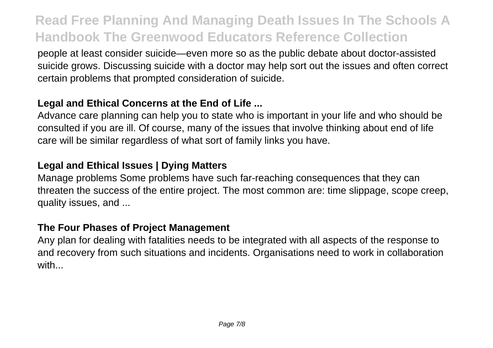people at least consider suicide—even more so as the public debate about doctor-assisted suicide grows. Discussing suicide with a doctor may help sort out the issues and often correct certain problems that prompted consideration of suicide.

### **Legal and Ethical Concerns at the End of Life ...**

Advance care planning can help you to state who is important in your life and who should be consulted if you are ill. Of course, many of the issues that involve thinking about end of life care will be similar regardless of what sort of family links you have.

### **Legal and Ethical Issues | Dying Matters**

Manage problems Some problems have such far-reaching consequences that they can threaten the success of the entire project. The most common are: time slippage, scope creep, quality issues, and ...

#### **The Four Phases of Project Management**

Any plan for dealing with fatalities needs to be integrated with all aspects of the response to and recovery from such situations and incidents. Organisations need to work in collaboration with...